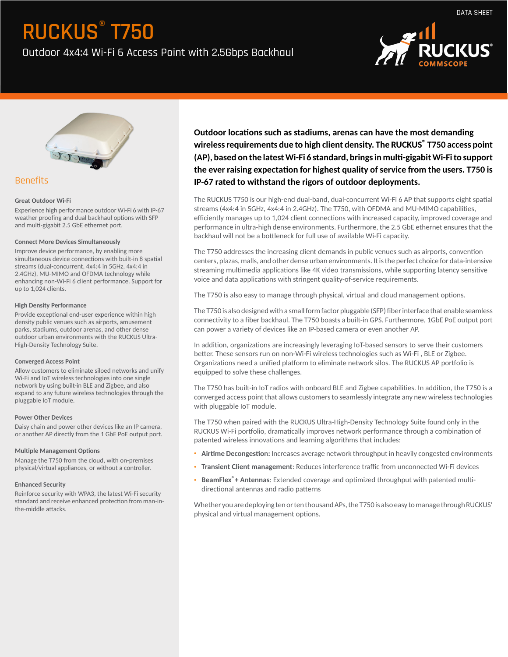Outdoor 4x4:4 Wi-Fi 6 Access Point with 2.5Gbps Backhaul





### Benefits

### **Great Outdoor Wi-Fi**

Experience high performance outdoor Wi-Fi 6 with IP-67 weather proofing and dual backhaul options with SFP and multi-gigabit 2.5 GbE ethernet port.

#### **Connect More Devices Simultaneously**

Improve device performance, by enabling more simultaneous device connections with built-in 8 spatial streams (dual-concurrent, 4x4:4 in 5GHz, 4x4:4 in 2.4GHz), MU-MIMO and OFDMA technology while enhancing non-Wi-Fi 6 client performance. Support for up to 1,024 clients.

#### **High Density Performance**

Provide exceptional end-user experience within high density public venues such as airports, amusement parks, stadiums, outdoor arenas, and other dense outdoor urban environments with the RUCKUS Ultra-High-Density Technology Suite.

### **Converged Access Point**

Allow customers to eliminate siloed networks and unify Wi-Fi and IoT wireless technologies into one single network by using built-in BLE and Zigbee, and also expand to any future wireless technologies through the pluggable IoT module.

### **Power Other Devices**

Daisy chain and power other devices like an IP camera, or another AP directly from the 1 GbE PoE output port.

### **Multiple Management Options**

Manage the T750 from the cloud, with on-premises physical/virtual appliances, or without a controller.

### **Enhanced Security**

Reinforce security with WPA3, the latest Wi-Fi security standard and receive enhanced protection from man-inthe-middle attacks.

**Outdoor locations such as stadiums, arenas can have the most demanding wireless requirements due to high client density. The RUCKUS® T750 access point (AP), based on the latest Wi-Fi 6 standard, brings in mulgigabit Wi-Fi to support** the ever raising expectation for highest quality of service from the users. T750 is **IP-67 rated to withstand the rigors of outdoor deployments.**

The RUCKUS T750 is our high-end dual-band, dual-concurrent Wi-Fi 6 AP that supports eight spatial streams (4x4:4 in 5GHz, 4x4:4 in 2.4GHz). The T750, with OFDMA and MU-MIMO capabilities, efficiently manages up to 1,024 client connections with increased capacity, improved coverage and performance in ultra-high dense environments. Furthermore, the 2.5 GbE ethernet ensures that the backhaul will not be a bottleneck for full use of available Wi-Fi capacity.

The T750 addresses the increasing client demands in public venues such as airports, convention centers, plazas, malls, and other dense urban environments. It is the perfect choice for data-intensive streaming multimedia applications like 4K video transmissions, while supporting latency sensitive voice and data applications with stringent quality-of-service requirements.

The T750 is also easy to manage through physical, virtual and cloud management options.

The T750 is also designed with a small form factor pluggable (SFP) fiber interface that enable seamless connectivity to a fiber backhaul. The T750 boasts a built-in GPS. Furthermore, 1GbE PoE output port can power a variety of devices like an IP-based camera or even another AP.

In addition, organizations are increasingly leveraging IoT-based sensors to serve their customers better. These sensors run on non-Wi-Fi wireless technologies such as Wi-Fi, BLE or Zigbee. Organizations need a unified platform to eliminate network silos. The RUCKUS AP portfolio is equipped to solve these challenges.

The T750 has built-in IoT radios with onboard BLE and Zigbee capabilities. In addition, the T750 is a converged access point that allows customers to seamlessly integrate any new wireless technologies with pluggable IoT module.

The T750 when paired with the RUCKUS Ultra-High-Density Technology Suite found only in the RUCKUS Wi-Fi portfolio, dramatically improves network performance through a combination of patented wireless innovations and learning algorithms that includes:

- Airtime Decongestion: Increases average network throughput in heavily congested environments
- **Transient Client management**: Reduces interference traffic from unconnected Wi-Fi devices
- BeamFlex<sup>®</sup> + Antennas: Extended coverage and optimized throughput with patented multidirectional antennas and radio patterns

Whether you are deploying ten or ten thousand APs, the T750 is also easy to manage through RUCKUS' physical and virtual management options.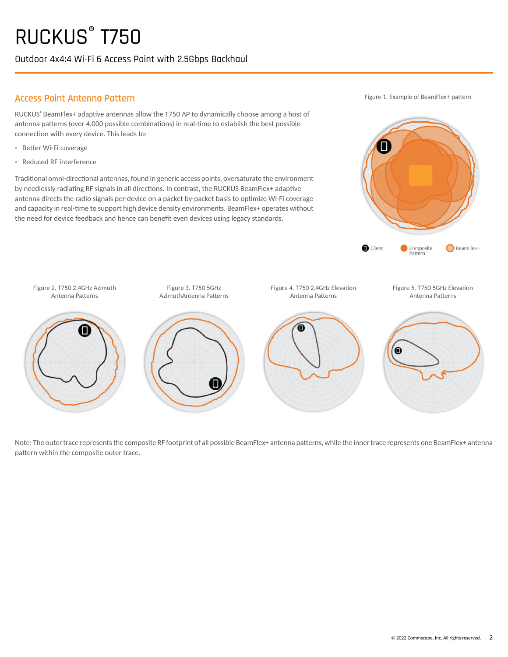Outdoor 4x4:4 Wi-Fi 6 Access Point with 2.5Gbps Backhaul

### Access Point Antenna Pattern

RUCKUS' BeamFlex+ adaptive antennas allow the T750 AP to dynamically choose among a host of antenna patterns (over 4,000 possible combinations) in real-time to establish the best possible connection with every device. This leads to:

- Better Wi-Fi coverage
- · Reduced RF interference

Traditional omni-directional antennas, found in generic access points, oversaturate the environment by needlessly radiating RF signals in all directions. In contrast, the RUCKUS BeamFlex+ adaptive antenna directs the radio signals per-device on a packet by-packet basis to optimize Wi-Fi coverage and capacity in real-time to support high device density environments. BeamFlex+ operates without the need for device feedback and hence can benefit even devices using legacy standards.

Figure 1. Example of BeamFlex+ pattern





Note: The outer trace represents the composite RF footprint of all possible BeamFlex+ antenna patterns, while the inner trace represents one BeamFlex+ antenna pattern within the composite outer trace.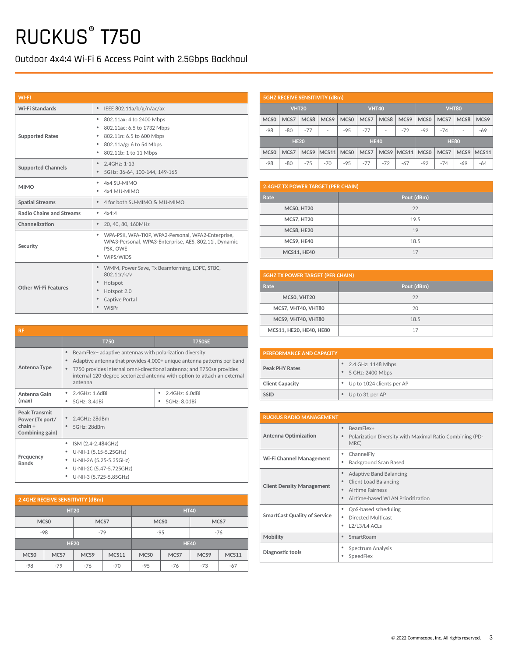Outdoor 4x4:4 Wi-Fi 6 Access Point with 2.5Gbps Backhaul

| <b>WI-FI</b>                    |                                                                                                                                                                 |
|---------------------------------|-----------------------------------------------------------------------------------------------------------------------------------------------------------------|
| Wi-Fi Standards                 | $\bullet$<br>IEEE 802.11a/b/g/n/ac/ax                                                                                                                           |
| <b>Supported Rates</b>          | ٠<br>802.11ax: 4 to 2400 Mbps<br>٠<br>802.11ac: 6.5 to 1732 Mbps<br>802.11n: 6.5 to 600 Mbps<br>٠<br>802.11a/g: 6 to 54 Mbps<br>٠<br>٠<br>802.11b: 1 to 11 Mbps |
| <b>Supported Channels</b>       | 2.4GHz: 1-13<br>$\bullet$<br>5GHz: 36-64, 100-144, 149-165                                                                                                      |
| <b>MIMO</b>                     | 4x4 SU-MIMO<br>٠<br>٠<br>4x4 MU-MIMO                                                                                                                            |
| <b>Spatial Streams</b>          | $\bullet$<br>4 for both SU-MIMO & MU-MIMO                                                                                                                       |
| <b>Radio Chains and Streams</b> | 4x4:4<br>٠                                                                                                                                                      |
| Channelization                  | ٠<br>20, 40, 80, 160MHz                                                                                                                                         |
| Security                        | WPA-PSK, WPA-TKIP, WPA2-Personal, WPA2-Enterprise,<br>٠<br>WPA3-Personal, WPA3-Enterprise, AES, 802.11i, Dynamic<br>PSK, OWE<br>WIPS/WIDS<br>٠                  |
| Other Wi-Fi Features            | ۰<br>WMM, Power Save, Tx Beamforming, LDPC, STBC,<br>802.11r/k/v<br>$\bullet$<br>Hotspot<br>Hotspot 2.0<br>$\bullet$<br>Captive Portal<br>۰<br><b>WISPr</b>     |

|                  |              |                  | <b>5GHZ RECEIVE SENSITIVITY (dBm)</b> |                  |             |       |                  |                  |       |                  |       |
|------------------|--------------|------------------|---------------------------------------|------------------|-------------|-------|------------------|------------------|-------|------------------|-------|
|                  | <b>VHT20</b> |                  |                                       | <b>VHT40</b>     |             |       | <b>VHT80</b>     |                  |       |                  |       |
| MCS <sub>0</sub> | MCS7         | MCS8             | MCS <sub>9</sub>                      | MCS <sub>0</sub> | MCS7        | MCS8  | MCS <sub>9</sub> | MCS <sub>0</sub> | MCS7  | MCS8             | MCS9  |
| $-98$            | $-80$        | $-77$            |                                       | $-95$            | $-77$       | ٠     | $-72$            | $-92$            | $-74$ | ٠                | $-69$ |
| <b>HE20</b>      |              |                  |                                       |                  | <b>HE40</b> |       |                  | <b>HE80</b>      |       |                  |       |
| MCS <sub>0</sub> | MCS7         | MCS <sub>9</sub> | MCS11                                 | MCS <sub>0</sub> | MCS7        | MCS9  | MCS11            | MCS <sub>0</sub> | MCS7  | MCS <sub>9</sub> | MCS11 |
| $-98$            | $-80$        | $-75$            | $-70$                                 | $-95$            | $-77$       | $-72$ | $-67$            | $-92$            | $-74$ | $-69$            | -64   |

| <b>2.4GHZ TX POWER TARGET (PER CHAIN)</b> |            |  |
|-------------------------------------------|------------|--|
| Rate                                      | Pout (dBm) |  |
| MCSO, HT20                                | 22         |  |
| <b>MCS7, HT20</b>                         | 19.5       |  |
| MCS8, HE20                                | 19         |  |
| MCS9, HE40                                | 18.5       |  |
| <b>MCS11, HE40</b>                        | 17         |  |

| <b>5GHZ TX POWER TARGET (PER CHAIN)</b> |            |  |
|-----------------------------------------|------------|--|
| Rate                                    | Pout (dBm) |  |
| MCS0, VHT20                             | 22         |  |
| MCS7, VHT40, VHT80                      | 20         |  |
| MCS9, VHT40, VHT80                      | 18.5       |  |
| MCS11, HE20, HE40, HE80                 | 17         |  |

| <b>PERFORMANCE AND CAPACITY</b> |                                               |  |
|---------------------------------|-----------------------------------------------|--|
| <b>Peak PHY Rates</b>           | • 2.4 GHz: 1148 Mbps<br>5 GHz: 2400 Mbps<br>٠ |  |
| <b>Client Capacity</b>          | • Up to 1024 clients per AP                   |  |
| <b>SSID</b>                     | Up to 31 per AP<br>٠                          |  |

| <b>RUCKUS RADIO MANAGEMENT</b>      |                                                                                                                                             |  |
|-------------------------------------|---------------------------------------------------------------------------------------------------------------------------------------------|--|
| <b>Antenna Optimization</b>         | BeamFlex+<br>٠<br>Polarization Diversity with Maximal Ratio Combining (PD-<br>MRC)                                                          |  |
| Wi-Fi Channel Management            | ChannelFly<br>٠<br>Background Scan Based                                                                                                    |  |
| <b>Client Density Management</b>    | <b>Adaptive Band Balancing</b><br>٠<br><b>Client Load Balancing</b><br>٠<br>Airtime Fairness<br>٠<br>Airtime-based WLAN Prioritization<br>٠ |  |
| <b>SmartCast Quality of Service</b> | QoS-based scheduling<br>٠<br>Directed Multicast<br>L <sub>2</sub> /L <sub>3</sub> /L <sub>4</sub> ACL <sub>s</sub><br>٠                     |  |
| Mobility                            | SmartRoam<br>٠                                                                                                                              |  |
| Diagnostic tools                    | Spectrum Analysis<br>٠<br>SpeedFlex                                                                                                         |  |

| <b>RF</b>                                                               |                                                                                                                                                    |                                                                                                                                                                                                                            |
|-------------------------------------------------------------------------|----------------------------------------------------------------------------------------------------------------------------------------------------|----------------------------------------------------------------------------------------------------------------------------------------------------------------------------------------------------------------------------|
|                                                                         | <b>T750</b>                                                                                                                                        | <b>T750SE</b>                                                                                                                                                                                                              |
| Antenna Type                                                            | BeamFlex+ adaptive antennas with polarization diversity<br>۰<br>antenna                                                                            | Adaptive antenna that provides 4,000+ unique antenna patterns per band<br>T750 provides internal omni-directional antenna; and T750se provides<br>internal 120-degree sectorized antenna with option to attach an external |
| Antenna Gain<br>(max)                                                   | 2.4GHz: 1.6dBi<br>5GHz: 3.4dBi                                                                                                                     | 2.4GHz: 6.0dBi<br>5GHz: 8.0dBi                                                                                                                                                                                             |
| <b>Peak Transmit</b><br>Power (Tx port/<br>$chain +$<br>Combining gain) | 2.4GHz: 28dBm<br>5GHz: 28dBm                                                                                                                       |                                                                                                                                                                                                                            |
| Frequency<br><b>Bands</b>                                               | ISM (2.4-2.484GHz)<br>U-NII-1 (5.15-5.25GHz)<br>٠<br>U-NII-2A (5.25-5.35GHz)<br>٠<br>U-NII-2C (5.47-5.725GHz)<br>٠<br>U-NII-3 (5.725-5.85GHz)<br>٠ |                                                                                                                                                                                                                            |

|                  | 2.4GHZ RECEIVE SENSITIVITY (dBm) |                  |              |                  |                  |       |              |
|------------------|----------------------------------|------------------|--------------|------------------|------------------|-------|--------------|
| <b>HT20</b>      |                                  |                  |              | <b>HT40</b>      |                  |       |              |
|                  | MCS <sub>0</sub>                 |                  | MCS7         |                  | MCS <sub>0</sub> |       | MCS7         |
|                  | $-98$                            |                  | $-79$        | $-95$            |                  | $-76$ |              |
|                  | <b>HE20</b>                      |                  |              |                  | <b>HE40</b>      |       |              |
| MCS <sub>0</sub> | MCS7                             | MCS <sub>9</sub> | <b>MCS11</b> | MCS <sub>0</sub> | MCS7             | MCS9  | <b>MCS11</b> |
| $-98$            | $-79$                            | $-76$            | $-70$        | $-95$            | $-76$            | $-73$ | $-67$        |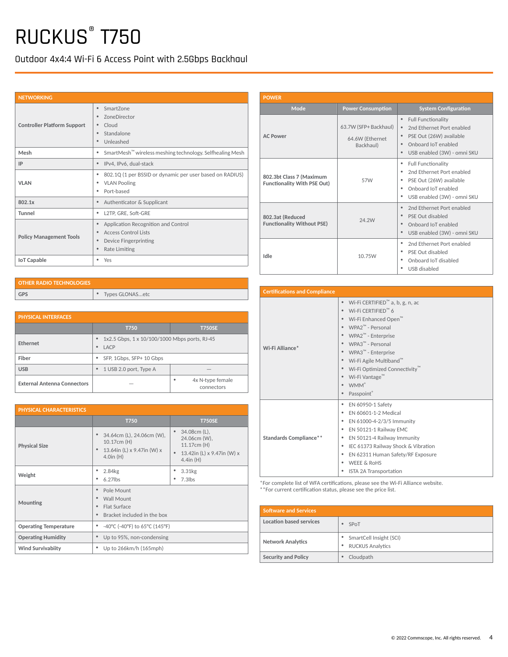Outdoor 4x4:4 Wi-Fi 6 Access Point with 2.5Gbps Backhaul

| <b>NETWORKING</b>                  |                                                                                                                   |
|------------------------------------|-------------------------------------------------------------------------------------------------------------------|
| <b>Controller Platform Support</b> | SmartZone<br>ZoneDirector<br>Cloud<br>Standalone<br>Unleashed                                                     |
| Mesh                               | SmartMesh <sup>™</sup> wireless meshing technology. Selfhealing Mesh<br>٠                                         |
| IP                                 | IPv4, IPv6, dual-stack                                                                                            |
| <b>VLAN</b>                        | 802.1Q (1 per BSSID or dynamic per user based on RADIUS)<br><b>VLAN Pooling</b><br>Port-based<br>٠                |
| 802.1x                             | Authenticator & Supplicant<br>٠                                                                                   |
| <b>Tunnel</b>                      | L2TP, GRE, Soft-GRE<br>٠                                                                                          |
| <b>Policy Management Tools</b>     | Application Recognition and Control<br><b>Access Control Lists</b><br>Device Fingerprinting<br>٠<br>Rate Limiting |
| <b>IoT Capable</b>                 | Yes                                                                                                               |

| <b>POWER</b>                                                   |                                                       |                                                                                                                                                                                |
|----------------------------------------------------------------|-------------------------------------------------------|--------------------------------------------------------------------------------------------------------------------------------------------------------------------------------|
| Mode                                                           | <b>Power Consumption</b>                              | <b>System Configuration</b>                                                                                                                                                    |
| <b>AC Power</b>                                                | 63.7W (SFP+ Backhaul)<br>64.6W (Ethernet<br>Backhaul) | $\bullet$<br><b>Full Functionality</b><br>2nd Ethernet Port enabled<br>$\bullet$<br>PSE Out (26W) available<br>$\bullet$<br>Onboard IoT enabled<br>USB enabled (3W) - omni SKU |
| 802.3bt Class 7 (Maximum<br><b>Functionality With PSE Out)</b> | 57W                                                   | <b>Full Functionality</b><br>٠<br>٠<br>2nd Ethernet Port enabled<br>PSE Out (26W) available<br>٠<br>Onboard IoT enabled<br>٠<br>USB enabled (3W) - omni SKU<br>٠               |
| 802.3at (Reduced<br><b>Functionality Without PSE)</b>          | 24.2W                                                 | 2nd Ethernet Port enabled<br>$\bullet$<br>PSE Out disabled<br>Onboard IoT enabled<br>$\bullet$<br>USB enabled (3W) - omni SKU<br>$\bullet$                                     |
| Idle                                                           | 10.75W                                                | 2nd Ethernet Port enabled<br>٠<br>PSE Out disabled<br>٠<br>Onboard IoT disabled<br>USB disabled<br>٠                                                                           |

| <b>Certifications and Compliance</b> |                                                                                                                                                                                                                                                                                                                                                        |
|--------------------------------------|--------------------------------------------------------------------------------------------------------------------------------------------------------------------------------------------------------------------------------------------------------------------------------------------------------------------------------------------------------|
| Wi-Fi Alliance*                      | Wi-Fi CERTIFIED <sup>™</sup> a, b, g, n, ac<br>Wi-Fi CERTIFIED™ 6<br>Wi-Fi Enhanced Open™<br>$WPA2^m$ - Personal<br>WPA2 <sup>™</sup> - Enterprise<br>WPA3 <sup>™</sup> - Personal<br>WPA3 <sup>™</sup> - Enterprise<br>Wi-Fi Agile Multiband™<br>Wi-Fi Optimized Connectivity <sup>™</sup><br>Wi-Fi Vantage™<br><b>WMM</b> <sup>*</sup><br>Passpoint® |
| <b>Standards Compliance**</b>        | EN 60950-1 Safety<br>٠<br>EN 60601-1-2 Medical<br>EN 61000-4-2/3/5 Immunity<br>٠<br>EN 50121-1 Railway EMC<br>٠<br>EN 50121-4 Railway Immunity<br>٠<br>IEC 61373 Railway Shock & Vibration<br>٠<br>EN 62311 Human Safety/RF Exposure<br>٠<br><b>WEEE &amp; RoHS</b><br>٠<br>ISTA 2A Transportation<br>٠                                                |

\*For complete list of WFA certifications, please see the Wi-Fi Alliance website. \*\*For current certification status, please see the price list.

| <b>Software and Services</b> |                                                    |
|------------------------------|----------------------------------------------------|
| Location based services      | SPoT                                               |
| <b>Network Analytics</b>     | SmartCell Insight (SCI)<br><b>RUCKUS Analytics</b> |
| <b>Security and Policy</b>   | Cloudpath                                          |

| <b>OTHER RADIO TECHNOLOGIES</b> |                 |
|---------------------------------|-----------------|
| <b>GPS</b>                      | Types GLONASetc |

| <b>PHYSICAL INTERFACES</b>         |                                                                         |                                     |  |  |
|------------------------------------|-------------------------------------------------------------------------|-------------------------------------|--|--|
|                                    | T750                                                                    | <b>T750SE</b>                       |  |  |
| <b>Ethernet</b>                    | 1x2.5 Gbps, 1 x 10/100/1000 Mbps ports, RJ-45<br>$\bullet$<br>LACP<br>۰ |                                     |  |  |
| Fiber                              | SFP, 1Gbps, SFP+ 10 Gbps<br>٠                                           |                                     |  |  |
| <b>USB</b>                         | 1 USB 2.0 port, Type A<br>٠                                             |                                     |  |  |
| <b>External Antenna Connectors</b> |                                                                         | 4x N-type female<br>٠<br>connectors |  |  |

| <b>PHYSICAL CHARACTERISTICS</b> |                                                                                                            |                                                                                             |  |  |
|---------------------------------|------------------------------------------------------------------------------------------------------------|---------------------------------------------------------------------------------------------|--|--|
|                                 | <b>T750</b>                                                                                                | <b>T750SE</b>                                                                               |  |  |
| <b>Physical Size</b>            | 34.64cm (L), 24.06cm (W),<br>۰<br>10.17cm (H)<br>13.64in (L) x 9.47in (W) x<br>$\bullet$<br>$4.0$ in $(H)$ | 34.08cm (L),<br>24.06cm (W),<br>11.17cm (H)<br>13.42in (L) x 9.47in (W) x<br>$4.4$ in $(H)$ |  |  |
| Weight                          | 2.84kg<br>٠<br>$6.27$ lbs<br>٠                                                                             | 3.31kg<br>$7.3$ lbs                                                                         |  |  |
| Mounting                        | Pole Mount<br>۰<br>Wall Mount<br>۰<br>Flat Surface<br>۰<br>Bracket included in the box<br>۰                |                                                                                             |  |  |
| <b>Operating Temperature</b>    | -40°C (-40°F) to 65°C (145°F)<br>۰                                                                         |                                                                                             |  |  |
| <b>Operating Humidity</b>       | Up to 95%, non-condensing<br>۰                                                                             |                                                                                             |  |  |
| <b>Wind Survivabiity</b>        | Up to 266km/h (165mph)<br>٠                                                                                |                                                                                             |  |  |